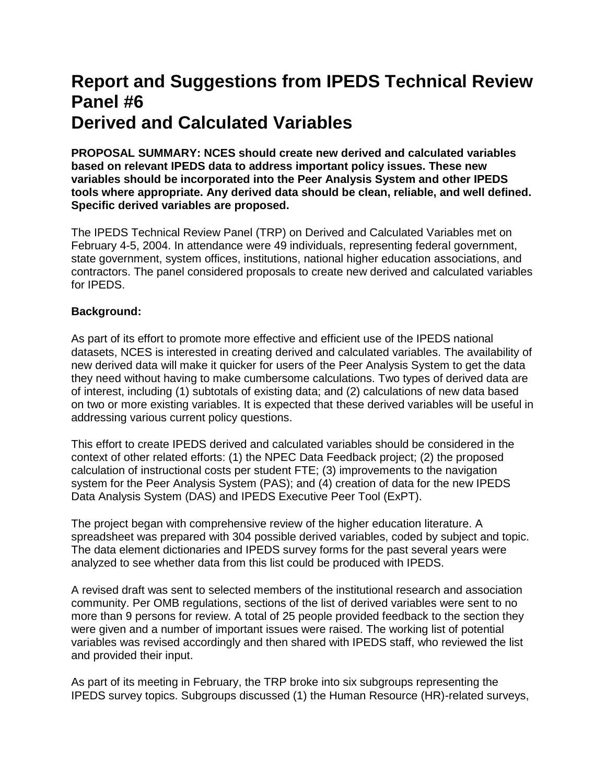# **Report and Suggestions from IPEDS Technical Review Panel #6 Derived and Calculated Variables**

**PROPOSAL SUMMARY: NCES should create new derived and calculated variables based on relevant IPEDS data to address important policy issues. These new variables should be incorporated into the Peer Analysis System and other IPEDS tools where appropriate. Any derived data should be clean, reliable, and well defined. Specific derived variables are proposed.**

The IPEDS Technical Review Panel (TRP) on Derived and Calculated Variables met on February 4-5, 2004. In attendance were 49 individuals, representing federal government, state government, system offices, institutions, national higher education associations, and contractors. The panel considered proposals to create new derived and calculated variables for IPEDS.

## **Background:**

As part of its effort to promote more effective and efficient use of the IPEDS national datasets, NCES is interested in creating derived and calculated variables. The availability of new derived data will make it quicker for users of the Peer Analysis System to get the data they need without having to make cumbersome calculations. Two types of derived data are of interest, including (1) subtotals of existing data; and (2) calculations of new data based on two or more existing variables. It is expected that these derived variables will be useful in addressing various current policy questions.

This effort to create IPEDS derived and calculated variables should be considered in the context of other related efforts: (1) the NPEC Data Feedback project; (2) the proposed calculation of instructional costs per student FTE; (3) improvements to the navigation system for the Peer Analysis System (PAS); and (4) creation of data for the new IPEDS Data Analysis System (DAS) and IPEDS Executive Peer Tool (ExPT).

The project began with comprehensive review of the higher education literature. A spreadsheet was prepared with 304 possible derived variables, coded by subject and topic. The data element dictionaries and IPEDS survey forms for the past several years were analyzed to see whether data from this list could be produced with IPEDS.

A revised draft was sent to selected members of the institutional research and association community. Per OMB regulations, sections of the list of derived variables were sent to no more than 9 persons for review. A total of 25 people provided feedback to the section they were given and a number of important issues were raised. The working list of potential variables was revised accordingly and then shared with IPEDS staff, who reviewed the list and provided their input.

As part of its meeting in February, the TRP broke into six subgroups representing the IPEDS survey topics. Subgroups discussed (1) the Human Resource (HR)-related surveys,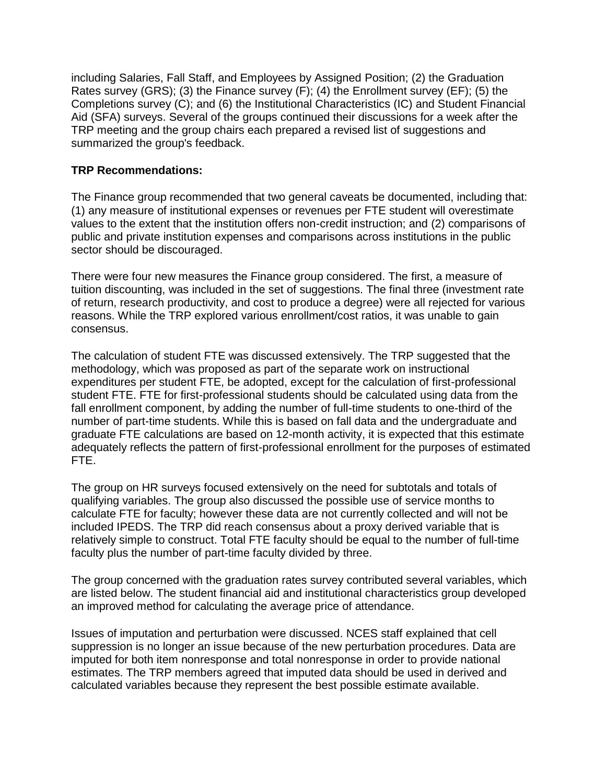including Salaries, Fall Staff, and Employees by Assigned Position; (2) the Graduation Rates survey (GRS); (3) the Finance survey (F); (4) the Enrollment survey (EF); (5) the Completions survey (C); and (6) the Institutional Characteristics (IC) and Student Financial Aid (SFA) surveys. Several of the groups continued their discussions for a week after the TRP meeting and the group chairs each prepared a revised list of suggestions and summarized the group's feedback.

### **TRP Recommendations:**

The Finance group recommended that two general caveats be documented, including that: (1) any measure of institutional expenses or revenues per FTE student will overestimate values to the extent that the institution offers non-credit instruction; and (2) comparisons of public and private institution expenses and comparisons across institutions in the public sector should be discouraged.

There were four new measures the Finance group considered. The first, a measure of tuition discounting, was included in the set of suggestions. The final three (investment rate of return, research productivity, and cost to produce a degree) were all rejected for various reasons. While the TRP explored various enrollment/cost ratios, it was unable to gain consensus.

The calculation of student FTE was discussed extensively. The TRP suggested that the methodology, which was proposed as part of the separate work on instructional expenditures per student FTE, be adopted, except for the calculation of first-professional student FTE. FTE for first-professional students should be calculated using data from the fall enrollment component, by adding the number of full-time students to one-third of the number of part-time students. While this is based on fall data and the undergraduate and graduate FTE calculations are based on 12-month activity, it is expected that this estimate adequately reflects the pattern of first-professional enrollment for the purposes of estimated FTE.

The group on HR surveys focused extensively on the need for subtotals and totals of qualifying variables. The group also discussed the possible use of service months to calculate FTE for faculty; however these data are not currently collected and will not be included IPEDS. The TRP did reach consensus about a proxy derived variable that is relatively simple to construct. Total FTE faculty should be equal to the number of full-time faculty plus the number of part-time faculty divided by three.

The group concerned with the graduation rates survey contributed several variables, which are listed below. The student financial aid and institutional characteristics group developed an improved method for calculating the average price of attendance.

Issues of imputation and perturbation were discussed. NCES staff explained that cell suppression is no longer an issue because of the new perturbation procedures. Data are imputed for both item nonresponse and total nonresponse in order to provide national estimates. The TRP members agreed that imputed data should be used in derived and calculated variables because they represent the best possible estimate available.